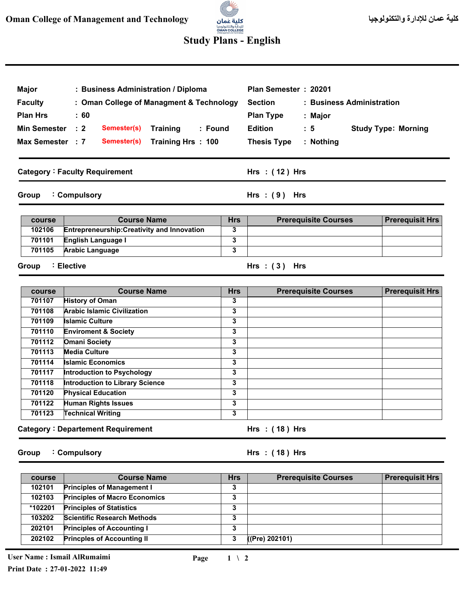## llit<sup>ar</sup>s للإدارة والتكنولوجيا<br>**OMAN COLLEGE**<br>«Managementard Technology

## **Study Plans - English**

| Major<br><b>Faculty</b><br><b>Plan Hrs</b><br>Min Semester : 2<br>Max Semester : 7 | : Business Administration / Diploma<br>: Oman College of Managment & Technology<br>$\pm 60$<br>Semester(s)<br><b>Training</b><br>: Found<br>Training Hrs: 100<br><b>Semester(s)</b> |            | Plan Semester: 20201<br><b>Section</b><br>: Business Administration<br><b>Plan Type</b><br>: Major<br><b>Edition</b><br>$\therefore$ 5<br><b>Thesis Type</b><br>: Nothing | <b>Study Type: Morning</b> |  |
|------------------------------------------------------------------------------------|-------------------------------------------------------------------------------------------------------------------------------------------------------------------------------------|------------|---------------------------------------------------------------------------------------------------------------------------------------------------------------------------|----------------------------|--|
|                                                                                    | <b>Category: Faculty Requirement</b>                                                                                                                                                |            | Hrs $:(12)$ Hrs                                                                                                                                                           |                            |  |
| Group                                                                              | : Compulsory                                                                                                                                                                        |            | Hrs: $(9)$ Hrs                                                                                                                                                            |                            |  |
| course                                                                             | <b>Course Name</b>                                                                                                                                                                  | <b>Hrs</b> | <b>Prerequisite Courses</b>                                                                                                                                               | <b>Prerequisit Hrs</b>     |  |
| 102106                                                                             | Entrepreneurship: Creativity and Innovation                                                                                                                                         | 3          |                                                                                                                                                                           |                            |  |
| 701101                                                                             | English Language I                                                                                                                                                                  | 3          |                                                                                                                                                                           |                            |  |
| 701105                                                                             | <b>Arabic Language</b>                                                                                                                                                              | 3          |                                                                                                                                                                           |                            |  |
| : Elective<br>Hrs: $(3)$ Hrs<br>Group                                              |                                                                                                                                                                                     |            |                                                                                                                                                                           |                            |  |
| course                                                                             | <b>Course Name</b>                                                                                                                                                                  | <b>Hrs</b> | <b>Prerequisite Courses</b>                                                                                                                                               | <b>Prerequisit Hrs</b>     |  |
| 701107                                                                             | <b>History of Oman</b>                                                                                                                                                              | 3          |                                                                                                                                                                           |                            |  |

| 701107 | <b>History of Oman</b>                   | 3 |                  |  |
|--------|------------------------------------------|---|------------------|--|
| 701108 | <b>Arabic Islamic Civilization</b>       | 3 |                  |  |
| 701109 | <b>Islamic Culture</b>                   | 3 |                  |  |
| 701110 | <b>Enviroment &amp; Society</b>          | 3 |                  |  |
| 701112 | <b>Omani Society</b>                     | 3 |                  |  |
| 701113 | <b>Media Culture</b>                     | 3 |                  |  |
| 701114 | <b>Islamic Economics</b>                 | 3 |                  |  |
| 701117 | Introduction to Psychology               | 3 |                  |  |
| 701118 | <b>Introduction to Library Science</b>   | 3 |                  |  |
| 701120 | <b>Physical Education</b>                | 3 |                  |  |
| 701122 | <b>Human Rights Issues</b>               | 3 |                  |  |
| 701123 | <b>Technical Writing</b>                 | 3 |                  |  |
|        | <b>Category: Departement Requirement</b> |   | $Hrs$ : (18) Hrs |  |

**Group Compulsory :** **( 18 ) Hrs : Hrs**

| course  | <b>Course Name</b>                   | <b>Hrs</b> | <b>Prerequisite Courses</b> | <b>Prerequisit Hrs</b> |
|---------|--------------------------------------|------------|-----------------------------|------------------------|
| 102101  | <b>Principles of Management I</b>    | 3          |                             |                        |
| 102103  | <b>Principles of Macro Economics</b> | 3          |                             |                        |
| *102201 | <b>Principles of Statistics</b>      | 3          |                             |                        |
| 103202  | <b>Scientific Research Methods</b>   | 3          |                             |                        |
| 202101  | <b>Principles of Accounting I</b>    | 3          |                             |                        |
| 202102  | <b>Princples of Accounting II</b>    | 3          | ((Pre) 202101)              |                        |